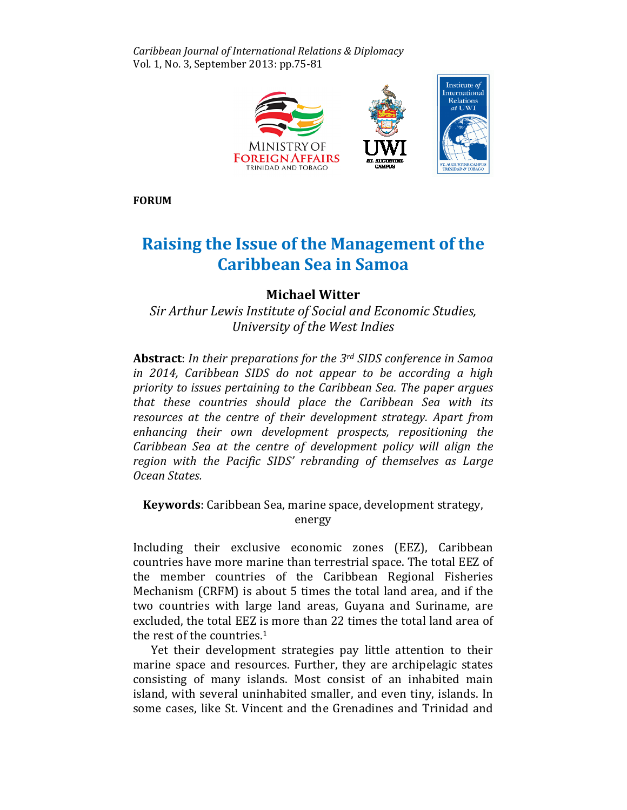Caribbean Journal of International Relations & Diplomacy Diplomacy Vol. 1, No. 3, September 2013: pp.75-81



FORUM

## Raising the Issue of the Management of the Caribbean Sea in Samoa

## Michael Witter Michael

Sir Arthur Lewis Institute of Social and Economic Studies, Studies, University of the West Indies University

Abstract: In their preparations for the 3<sup>rd</sup> SIDS conference in Samoa in 2014, Caribbean SIDS do not appear to be according a high priority to issues pertaining to the Caribbean Sea. The paper argues that these countries should place the Caribbean Sea with its resources at the centre of their development strategy. Apart from enhancing their own development prospects, repositioning the Caribbean Sea at the centre of development policy will align the region with the Pacific SIDS' rebranding of themselves as Large Ocean States.

Keywords: Caribbean Sea, marine space, development strategy, energy

Including their exclusive economic zones (EEZ), Caribbean countries have more marine than terrestrial space. The total EEZ of the member countries of the Caribbean Regional Fisheries Mechanism (CRFM) is about 5 times the total land area, and if the two countries with large land areas, Guyana and Suriname, are excluded, the total EEZ is more than 22 times the total land area of the rest of the countries.<sup>1</sup>

Yet their development strategies pay little attention to their marine space and resources. Further, they are archipelagic states consisting of many islands. Most consist of an inhabited main island, with several uninhabited smaller, and even tiny, islands. In some cases, like St. Vincent and the Grenadines and Trinidad and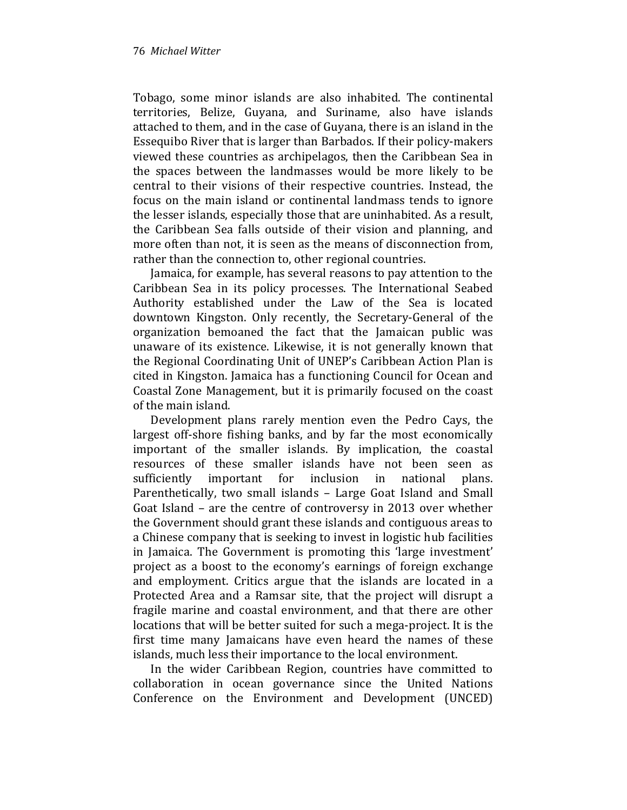Tobago, some minor islands are also inhabited. The continental territories, Belize, Guyana, and Suriname, also have islands attached to them, and in the case of Guyana, there is an island in the Essequibo River that is larger than Barbados. If their policy-makers viewed these countries as archipelagos, then the Caribbean Sea in the spaces between the landmasses would be more likely to be central to their visions of their respective countries. Instead, the focus on the main island or continental landmass tends to ignore the lesser islands, especially those that are uninhabited. As a result, the Caribbean Sea falls outside of their vision and planning, and more often than not, it is seen as the means of disconnection from, rather than the connection to, other regional countries.

Jamaica, for example, has several reasons to pay attention to the Caribbean Sea in its policy processes. The International Seabed Authority established under the Law of the Sea is located downtown Kingston. Only recently, the Secretary-General of the organization bemoaned the fact that the Jamaican public was unaware of its existence. Likewise, it is not generally known that the Regional Coordinating Unit of UNEP's Caribbean Action Plan is cited in Kingston. Jamaica has a functioning Council for Ocean and Coastal Zone Management, but it is primarily focused on the coast of the main island.

Development plans rarely mention even the Pedro Cays, the largest off-shore fishing banks, and by far the most economically important of the smaller islands. By implication, the coastal resources of these smaller islands have not been seen as sufficiently important for inclusion in national plans. Parenthetically, two small islands – Large Goat Island and Small Goat Island – are the centre of controversy in 2013 over whether the Government should grant these islands and contiguous areas to a Chinese company that is seeking to invest in logistic hub facilities in Jamaica. The Government is promoting this 'large investment' project as a boost to the economy's earnings of foreign exchange and employment. Critics argue that the islands are located in a Protected Area and a Ramsar site, that the project will disrupt a fragile marine and coastal environment, and that there are other locations that will be better suited for such a mega-project. It is the first time many Jamaicans have even heard the names of these islands, much less their importance to the local environment.

In the wider Caribbean Region, countries have committed to collaboration in ocean governance since the United Nations Conference on the Environment and Development (UNCED)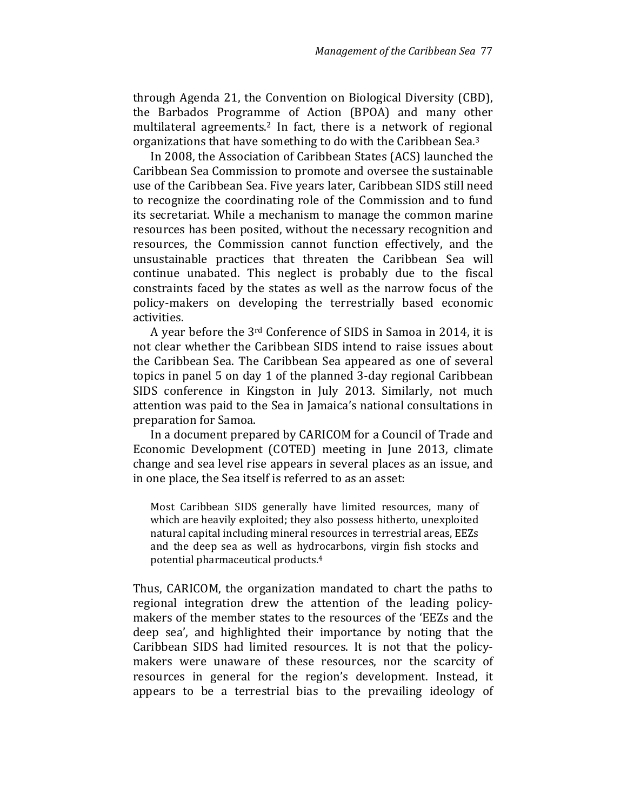through Agenda 21, the Convention on Biological Diversity (CBD), the Barbados Programme of Action (BPOA) and many other multilateral agreements.<sup>2</sup> In fact, there is a network of regional organizations that have something to do with the Caribbean Sea.<sup>3</sup>

In 2008, the Association of Caribbean States (ACS) launched the Caribbean Sea Commission to promote and oversee the sustainable use of the Caribbean Sea. Five years later, Caribbean SIDS still need to recognize the coordinating role of the Commission and to fund its secretariat. While a mechanism to manage the common marine resources has been posited, without the necessary recognition and resources, the Commission cannot function effectively, and the unsustainable practices that threaten the Caribbean Sea will continue unabated. This neglect is probably due to the fiscal constraints faced by the states as well as the narrow focus of the policy-makers on developing the terrestrially based economic activities.

A year before the 3rd Conference of SIDS in Samoa in 2014, it is not clear whether the Caribbean SIDS intend to raise issues about the Caribbean Sea. The Caribbean Sea appeared as one of several topics in panel 5 on day 1 of the planned 3-day regional Caribbean SIDS conference in Kingston in July 2013. Similarly, not much attention was paid to the Sea in Jamaica's national consultations in preparation for Samoa.

In a document prepared by CARICOM for a Council of Trade and Economic Development (COTED) meeting in June 2013, climate change and sea level rise appears in several places as an issue, and in one place, the Sea itself is referred to as an asset:

Most Caribbean SIDS generally have limited resources, many of which are heavily exploited; they also possess hitherto, unexploited natural capital including mineral resources in terrestrial areas, EEZs and the deep sea as well as hydrocarbons, virgin fish stocks and potential pharmaceutical products.<sup>4</sup>

Thus, CARICOM, the organization mandated to chart the paths to regional integration drew the attention of the leading policymakers of the member states to the resources of the 'EEZs and the deep sea', and highlighted their importance by noting that the Caribbean SIDS had limited resources. It is not that the policymakers were unaware of these resources, nor the scarcity of resources in general for the region's development. Instead, it appears to be a terrestrial bias to the prevailing ideology of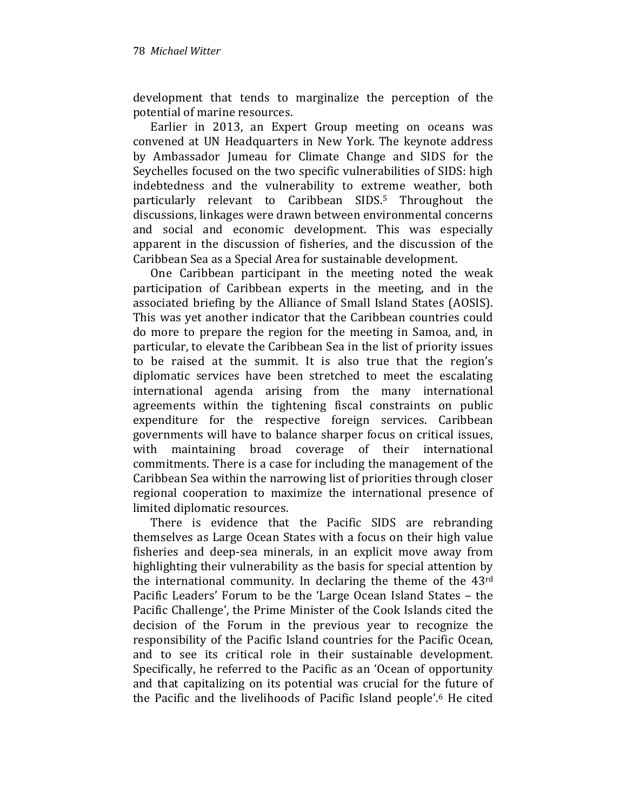development that tends to marginalize the perception of the potential of marine resources.

Earlier in 2013, an Expert Group meeting on oceans was convened at UN Headquarters in New York. The keynote address by Ambassador Jumeau for Climate Change and SIDS for the Seychelles focused on the two specific vulnerabilities of SIDS: high indebtedness and the vulnerability to extreme weather, both particularly relevant to Caribbean SIDS.5 Throughout the discussions, linkages were drawn between environmental concerns and social and economic development. This was especially apparent in the discussion of fisheries, and the discussion of the Caribbean Sea as a Special Area for sustainable development.

One Caribbean participant in the meeting noted the weak participation of Caribbean experts in the meeting, and in the associated briefing by the Alliance of Small Island States (AOSIS). This was yet another indicator that the Caribbean countries could do more to prepare the region for the meeting in Samoa, and, in particular, to elevate the Caribbean Sea in the list of priority issues to be raised at the summit. It is also true that the region's diplomatic services have been stretched to meet the escalating international agenda arising from the many international agreements within the tightening fiscal constraints on public expenditure for the respective foreign services. Caribbean governments will have to balance sharper focus on critical issues, with maintaining broad coverage of their international commitments. There is a case for including the management of the Caribbean Sea within the narrowing list of priorities through closer regional cooperation to maximize the international presence of limited diplomatic resources.

There is evidence that the Pacific SIDS are rebranding themselves as Large Ocean States with a focus on their high value fisheries and deep-sea minerals, in an explicit move away from highlighting their vulnerability as the basis for special attention by the international community. In declaring the theme of the 43rd Pacific Leaders' Forum to be the 'Large Ocean Island States – the Pacific Challenge', the Prime Minister of the Cook Islands cited the decision of the Forum in the previous year to recognize the responsibility of the Pacific Island countries for the Pacific Ocean, and to see its critical role in their sustainable development. Specifically, he referred to the Pacific as an 'Ocean of opportunity and that capitalizing on its potential was crucial for the future of the Pacific and the livelihoods of Pacific Island people'.6 He cited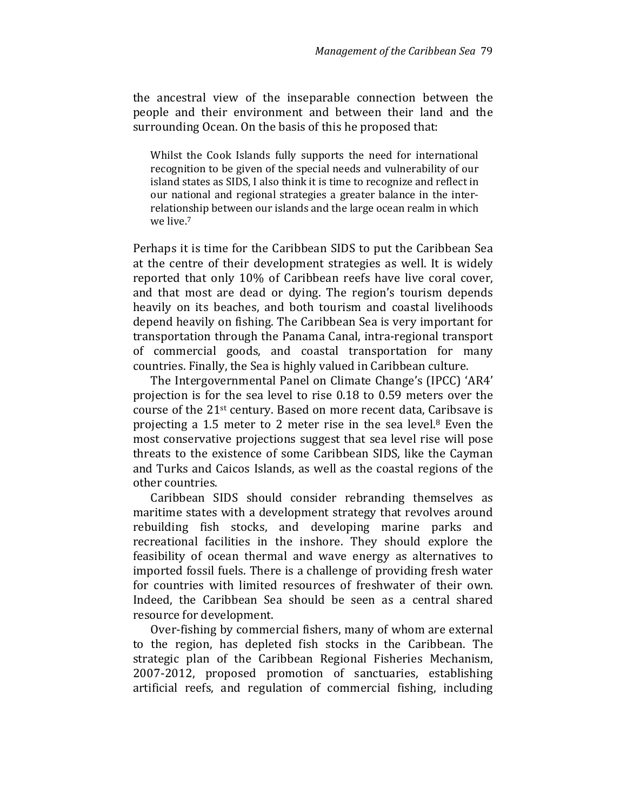the ancestral view of the inseparable connection between the people and their environment and between their land and the surrounding Ocean. On the basis of this he proposed that:

Whilst the Cook Islands fully supports the need for international recognition to be given of the special needs and vulnerability of our island states as SIDS, I also think it is time to recognize and reflect in our national and regional strategies a greater balance in the interrelationship between our islands and the large ocean realm in which we live.<sup>7</sup>

Perhaps it is time for the Caribbean SIDS to put the Caribbean Sea at the centre of their development strategies as well. It is widely reported that only 10% of Caribbean reefs have live coral cover, and that most are dead or dying. The region's tourism depends heavily on its beaches, and both tourism and coastal livelihoods depend heavily on fishing. The Caribbean Sea is very important for transportation through the Panama Canal, intra-regional transport of commercial goods, and coastal transportation for many countries. Finally, the Sea is highly valued in Caribbean culture.

The Intergovernmental Panel on Climate Change's (IPCC) 'AR4' projection is for the sea level to rise 0.18 to 0.59 meters over the course of the 21st century. Based on more recent data, Caribsave is projecting a 1.5 meter to 2 meter rise in the sea level.8 Even the most conservative projections suggest that sea level rise will pose threats to the existence of some Caribbean SIDS, like the Cayman and Turks and Caicos Islands, as well as the coastal regions of the other countries.

Caribbean SIDS should consider rebranding themselves as maritime states with a development strategy that revolves around rebuilding fish stocks, and developing marine parks and recreational facilities in the inshore. They should explore the feasibility of ocean thermal and wave energy as alternatives to imported fossil fuels. There is a challenge of providing fresh water for countries with limited resources of freshwater of their own. Indeed, the Caribbean Sea should be seen as a central shared resource for development.

Over-fishing by commercial fishers, many of whom are external to the region, has depleted fish stocks in the Caribbean. The strategic plan of the Caribbean Regional Fisheries Mechanism, 2007-2012, proposed promotion of sanctuaries, establishing artificial reefs, and regulation of commercial fishing, including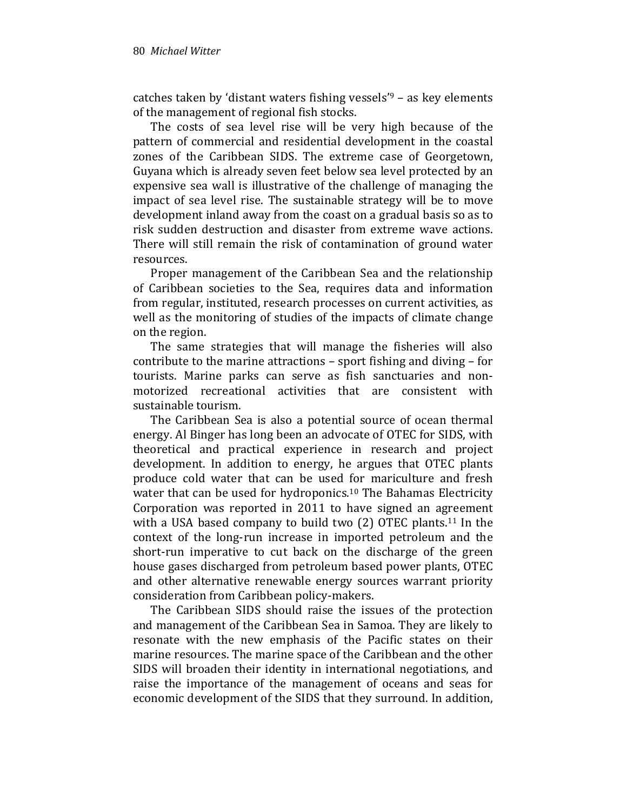catches taken by 'distant waters fishing vessels'<sup>9</sup> – as key elements of the management of regional fish stocks.

The costs of sea level rise will be very high because of the pattern of commercial and residential development in the coastal zones of the Caribbean SIDS. The extreme case of Georgetown, Guyana which is already seven feet below sea level protected by an expensive sea wall is illustrative of the challenge of managing the impact of sea level rise. The sustainable strategy will be to move development inland away from the coast on a gradual basis so as to risk sudden destruction and disaster from extreme wave actions. There will still remain the risk of contamination of ground water resources.

Proper management of the Caribbean Sea and the relationship of Caribbean societies to the Sea, requires data and information from regular, instituted, research processes on current activities, as well as the monitoring of studies of the impacts of climate change on the region.

The same strategies that will manage the fisheries will also contribute to the marine attractions – sport fishing and diving – for tourists. Marine parks can serve as fish sanctuaries and nonmotorized recreational activities that are consistent with sustainable tourism.

The Caribbean Sea is also a potential source of ocean thermal energy. Al Binger has long been an advocate of OTEC for SIDS, with theoretical and practical experience in research and project development. In addition to energy, he argues that OTEC plants produce cold water that can be used for mariculture and fresh water that can be used for hydroponics.<sup>10</sup> The Bahamas Electricity Corporation was reported in 2011 to have signed an agreement with a USA based company to build two (2) OTEC plants.<sup>11</sup> In the context of the long-run increase in imported petroleum and the short-run imperative to cut back on the discharge of the green house gases discharged from petroleum based power plants, OTEC and other alternative renewable energy sources warrant priority consideration from Caribbean policy-makers.

The Caribbean SIDS should raise the issues of the protection and management of the Caribbean Sea in Samoa. They are likely to resonate with the new emphasis of the Pacific states on their marine resources. The marine space of the Caribbean and the other SIDS will broaden their identity in international negotiations, and raise the importance of the management of oceans and seas for economic development of the SIDS that they surround. In addition,